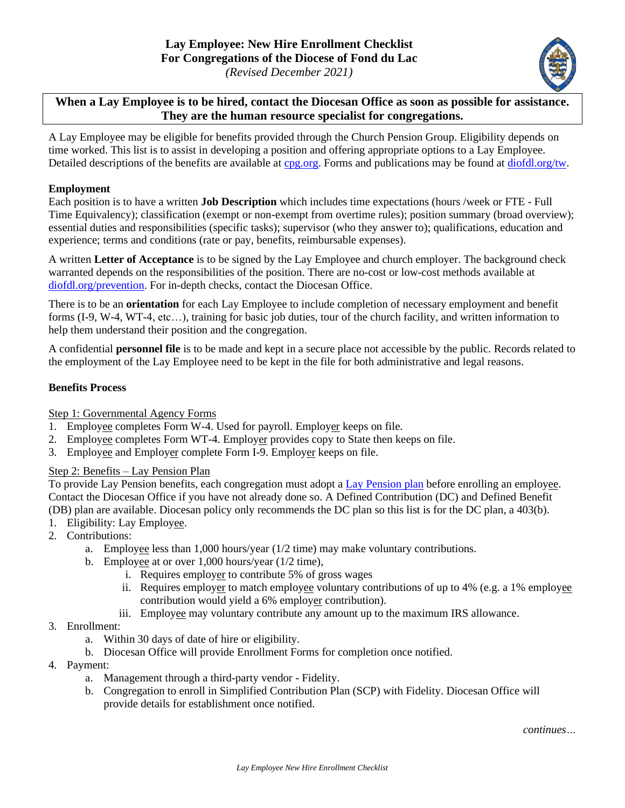

**When a Lay Employee is to be hired, contact the Diocesan Office as soon as possible for assistance. They are the human resource specialist for congregations.**

A Lay Employee may be eligible for benefits provided through the Church Pension Group. Eligibility depends on time worked. This list is to assist in developing a position and offering appropriate options to a Lay Employee. Detailed descriptions of the benefits are available at [cpg.org.](https://www.cpg.org/administrators/resources/arc/what-to-do-when/) Forms and publications may be found at [diofdl.org/tw.](http://www.diofdl.org/tw.html)

## **Employment**

Each position is to have a written **Job Description** which includes time expectations (hours /week or FTE - Full Time Equivalency); classification (exempt or non-exempt from overtime rules); position summary (broad overview); essential duties and responsibilities (specific tasks); supervisor (who they answer to); qualifications, education and experience; terms and conditions (rate or pay, benefits, reimbursable expenses).

A written **Letter of Acceptance** is to be signed by the Lay Employee and church employer. The background check warranted depends on the responsibilities of the position. There are no-cost or low-cost methods available at [diofdl.org/prevention.](http://www.diofdl.org/prevention.html) For in-depth checks, contact the Diocesan Office.

There is to be an **orientation** for each Lay Employee to include completion of necessary employment and benefit forms (I-9, W-4, WT-4, etc…), training for basic job duties, tour of the church facility, and written information to help them understand their position and the congregation.

A confidential **personnel file** is to be made and kept in a secure place not accessible by the public. Records related to the employment of the Lay Employee need to be kept in the file for both administrative and legal reasons.

# **Benefits Process**

Step 1: Governmental Agency Forms

- 1. Employee completes Form W-4. Used for payroll. Employer keeps on file.
- 2. Employee completes Form WT-4. Employer provides copy to State then keeps on file.
- 3. Employee and Employer complete Form I-9. Employer keeps on file.

## Step 2: Benefits – Lay Pension Plan

To provide Lay Pension benefits, each congregation must adopt [a Lay Pension plan](https://www.cpg.org/administrators/retirement/understand/) before enrolling an employee. Contact the Diocesan Office if you have not already done so. A Defined Contribution (DC) and Defined Benefit (DB) plan are available. Diocesan policy only recommends the DC plan so this list is for the DC plan, a 403(b).

- 1. Eligibility: Lay Employee.
- 2. Contributions:
	- a. Employee less than 1,000 hours/year (1/2 time) may make voluntary contributions.
	- b. Employee at or over 1,000 hours/year (1/2 time),
		- i. Requires employer to contribute 5% of gross wages
		- ii. Requires employer to match employee voluntary contributions of up to 4% (e.g. a 1% employee contribution would yield a 6% employer contribution).
		- iii. Employee may voluntary contribute any amount up to the maximum IRS allowance.
- 3. Enrollment:
	- a. Within 30 days of date of hire or eligibility.
	- b. Diocesan Office will provide Enrollment Forms for completion once notified.
- 4. Payment:
	- a. Management through a third-party vendor Fidelity.
	- b. Congregation to enroll in Simplified Contribution Plan (SCP) with Fidelity. Diocesan Office will provide details for establishment once notified.